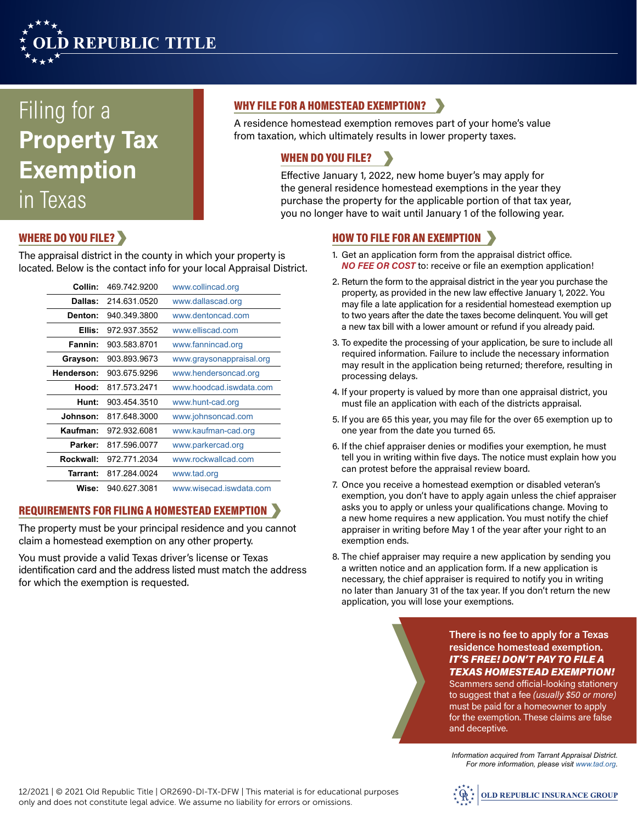

# Filing for a **Property Tax Exemption** in Texas

# WHY FILE FOR A HOMESTEAD EXEMPTION?

A residence homestead exemption removes part of your home's value from taxation, which ultimately results in lower property taxes.

# WHEN DO YOU FILE?

Effective January 1, 2022, new home buyer's may apply for the general residence homestead exemptions in the year they purchase the property for the applicable portion of that tax year, you no longer have to wait until January 1 of the following year.

# WHERE DO YOU FILE?

The appraisal district in the county in which your property is located. Below is the contact info for your local Appraisal District.

| Collin:    | 469.742.9200 | www.collincad.org        |
|------------|--------------|--------------------------|
| Dallas:    | 214.631.0520 | www.dallascad.org        |
| Denton:    | 940.349.3800 | www.dentoncad.com        |
| Ellis:     | 972.937.3552 | www.elliscad.com         |
| Fannin:    | 903.583.8701 | www.fannincad.org        |
| Grayson:   | 903.893.9673 | www.graysonappraisal.org |
| Henderson: | 903.675.9296 | www.hendersoncad.org     |
| Hood:      | 817.573.2471 | www.hoodcad.iswdata.com  |
| Hunt:      | 903.454.3510 | www.hunt-cad.org         |
| Johnson:   | 817.648.3000 | www.johnsoncad.com       |
| Kaufman:   | 972.932.6081 | www.kaufman-cad.org      |
| Parker:    | 817.596.0077 | www.parkercad.org        |
| Rockwall:  | 972.771.2034 | www.rockwallcad.com      |
| Tarrant:   | 817.284.0024 | www.tad.org              |
| Wise:      | 940.627.3081 | www.wisecad.iswdata.com  |

## REQUIREMENTS FOR FILING A HOMESTEAD EXEMPTION

The property must be your principal residence and you cannot claim a homestead exemption on any other property.

You must provide a valid Texas driver's license or Texas identification card and the address listed must match the address for which the exemption is requested.

## HOW TO FILE FOR AN EXEMPTION

- 1. Get an application form from the appraisal district office. *NO FEE OR COST* to: receive or file an exemption application!
- 2. Return the form to the appraisal district in the year you purchase the property, as provided in the new law effective January 1, 2022. You may file a late application for a residential homestead exemption up to two years after the date the taxes become delinquent. You will get a new tax bill with a lower amount or refund if you already paid.
- 3. To expedite the processing of your application, be sure to include all required information. Failure to include the necessary information may result in the application being returned; therefore, resulting in processing delays.
- 4. If your property is valued by more than one appraisal district, you must file an application with each of the districts appraisal.
- 5. If you are 65 this year, you may file for the over 65 exemption up to one year from the date you turned 65.
- 6. If the chief appraiser denies or modifies your exemption, he must tell you in writing within five days. The notice must explain how you can protest before the appraisal review board.
- 7. Once you receive a homestead exemption or disabled veteran's exemption, you don't have to apply again unless the chief appraiser asks you to apply or unless your qualifications change. Moving to a new home requires a new application. You must notify the chief appraiser in writing before May 1 of the year after your right to an exemption ends.
- 8. The chief appraiser may require a new application by sending you a written notice and an application form. If a new application is necessary, the chief appraiser is required to notify you in writing no later than January 31 of the tax year. If you don't return the new application, you will lose your exemptions.

**There is no fee to apply for a Texas residence homestead exemption.**  *IT'S FREE! DON'T PAY TO FILE A TEXAS HOMESTEAD EXEMPTION!*

Scammers send official-looking stationery to suggest that a fee *(usually \$50 or more)* must be paid for a homeowner to apply for the exemption. These claims are false and deceptive.

*Information acquired from Tarrant Appraisal District. For more information, please visit www.tad.org.*

12/2021 | © 2021 Old Republic Title | OR2690-DI-TX-DFW | This material is for educational purposes only and does not constitute legal advice. We assume no liability for errors or omissions.